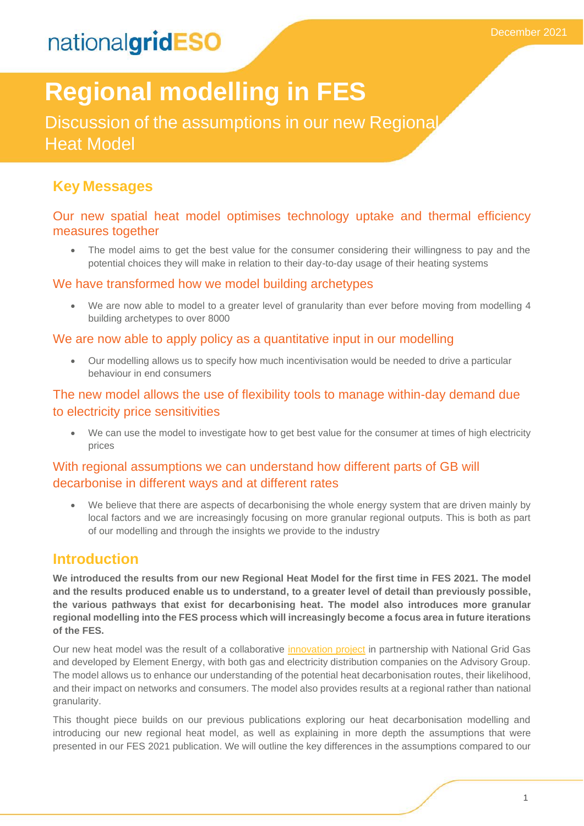# **Regional modelling in FES**

Discussion of the assumptions in our new Regional Heat Model

## **Key Messages**

### Our new spatial heat model optimises technology uptake and thermal efficiency measures together

• The model aims to get the best value for the consumer considering their willingness to pay and the potential choices they will make in relation to their day-to-day usage of their heating systems

### We have transformed how we model building archetypes

• We are now able to model to a greater level of granularity than ever before moving from modelling 4 building archetypes to over 8000

#### We are now able to apply policy as a quantitative input in our modelling

• Our modelling allows us to specify how much incentivisation would be needed to drive a particular behaviour in end consumers

### The new model allows the use of flexibility tools to manage within-day demand due to electricity price sensitivities

We can use the model to investigate how to get best value for the consumer at times of high electricity prices

### With regional assumptions we can understand how different parts of GB will decarbonise in different ways and at different rates

We believe that there are aspects of decarbonising the whole energy system that are driven mainly by local factors and we are increasingly focusing on more granular regional outputs. This is both as part of our modelling and through the insights we provide to the industry

## **Introduction**

**We introduced the results from our new Regional Heat Model for the first time in FES 2021. The model and the results produced enable us to understand, to a greater level of detail than previously possible, the various pathways that exist for decarbonising heat. The model also introduces more granular regional modelling into the FES process which will increasingly become a focus area in future iterations of the FES.** 

Our new heat model was the result of a collaborative [innovation project](https://smarter.energynetworks.org/projects/nia_nggt0154/) in partnership with National Grid Gas and developed by Element Energy, with both gas and electricity distribution companies on the Advisory Group. The model allows us to enhance our understanding of the potential heat decarbonisation routes, their likelihood, and their impact on networks and consumers. The model also provides results at a regional rather than national granularity.

This thought piece builds on our previous publications exploring our heat decarbonisation modelling and introducing our new regional heat model, as well as explaining in more depth the assumptions that were presented in our FES 2021 publication. We will outline the key differences in the assumptions compared to our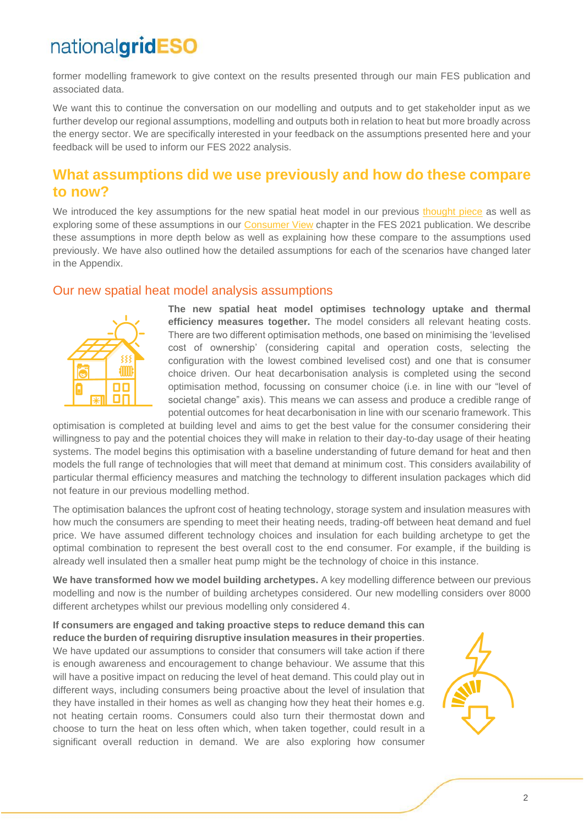former modelling framework to give context on the results presented through our main FES publication and associated data.

We want this to continue the conversation on our modelling and outputs and to get stakeholder input as we further develop our regional assumptions, modelling and outputs both in relation to heat but more broadly across the energy sector. We are specifically interested in your feedback on the assumptions presented here and your feedback will be used to inform our FES 2022 analysis.

## **What assumptions did we use previously and how do these compare to now?**

We introduced the key assumptions for the new spatial heat model in our previous [thought piece](https://www.nationalgrideso.com/document/190471/download) as well as exploring some of these assumptions in our [Consumer View](https://www.nationalgrideso.com/future-energy/future-energy-scenarios/fes-2021/consumer-view) chapter in the FES 2021 publication. We describe these assumptions in more depth below as well as explaining how these compare to the assumptions used previously. We have also outlined how the detailed assumptions for each of the scenarios have changed later in the Appendix.

#### Our new spatial heat model analysis assumptions



**The new spatial heat model optimises technology uptake and thermal efficiency measures together.** The model considers all relevant heating costs. There are two different optimisation methods, one based on minimising the 'levelised cost of ownership' (considering capital and operation costs, selecting the configuration with the lowest combined levelised cost) and one that is consumer choice driven. Our heat decarbonisation analysis is completed using the second optimisation method, focussing on consumer choice (i.e. in line with our "level of societal change" axis). This means we can assess and produce a credible range of potential outcomes for heat decarbonisation in line with our scenario framework. This

optimisation is completed at building level and aims to get the best value for the consumer considering their willingness to pay and the potential choices they will make in relation to their day-to-day usage of their heating systems. The model begins this optimisation with a baseline understanding of future demand for heat and then models the full range of technologies that will meet that demand at minimum cost. This considers availability of particular thermal efficiency measures and matching the technology to different insulation packages which did not feature in our previous modelling method.

The optimisation balances the upfront cost of heating technology, storage system and insulation measures with how much the consumers are spending to meet their heating needs, trading-off between heat demand and fuel price. We have assumed different technology choices and insulation for each building archetype to get the optimal combination to represent the best overall cost to the end consumer. For example, if the building is already well insulated then a smaller heat pump might be the technology of choice in this instance.

**We have transformed how we model building archetypes.** A key modelling difference between our previous modelling and now is the number of building archetypes considered. Our new modelling considers over 8000 different archetypes whilst our previous modelling only considered 4.

**If consumers are engaged and taking proactive steps to reduce demand this can reduce the burden of requiring disruptive insulation measures in their properties**. We have updated our assumptions to consider that consumers will take action if there is enough awareness and encouragement to change behaviour. We assume that this will have a positive impact on reducing the level of heat demand. This could play out in different ways, including consumers being proactive about the level of insulation that they have installed in their homes as well as changing how they heat their homes e.g. not heating certain rooms. Consumers could also turn their thermostat down and choose to turn the heat on less often which, when taken together, could result in a significant overall reduction in demand. We are also exploring how consumer

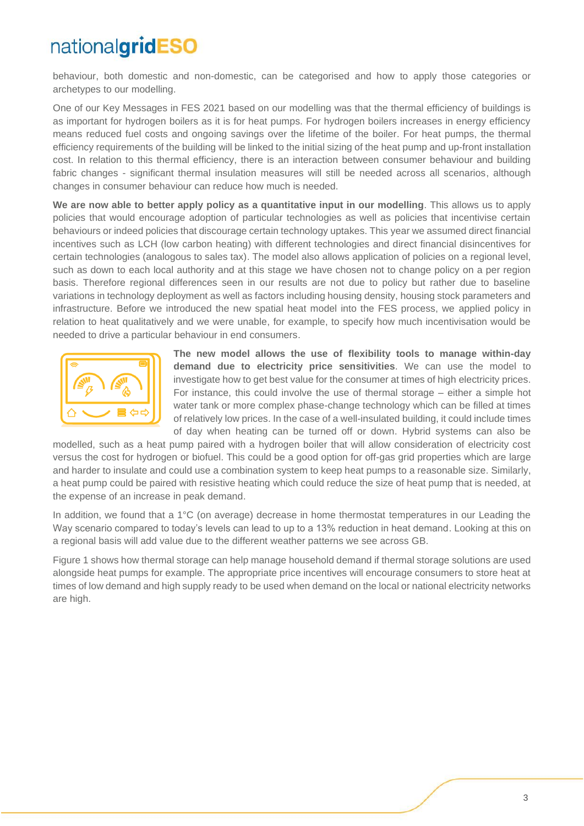behaviour, both domestic and non-domestic, can be categorised and how to apply those categories or archetypes to our modelling.

One of our Key Messages in FES 2021 based on our modelling was that the thermal efficiency of buildings is as important for hydrogen boilers as it is for heat pumps. For hydrogen boilers increases in energy efficiency means reduced fuel costs and ongoing savings over the lifetime of the boiler. For heat pumps, the thermal efficiency requirements of the building will be linked to the initial sizing of the heat pump and up-front installation cost. In relation to this thermal efficiency, there is an interaction between consumer behaviour and building fabric changes - significant thermal insulation measures will still be needed across all scenarios, although changes in consumer behaviour can reduce how much is needed.

**We are now able to better apply policy as a quantitative input in our modelling**. This allows us to apply policies that would encourage adoption of particular technologies as well as policies that incentivise certain behaviours or indeed policies that discourage certain technology uptakes. This year we assumed direct financial incentives such as LCH (low carbon heating) with different technologies and direct financial disincentives for certain technologies (analogous to sales tax). The model also allows application of policies on a regional level, such as down to each local authority and at this stage we have chosen not to change policy on a per region basis. Therefore regional differences seen in our results are not due to policy but rather due to baseline variations in technology deployment as well as factors including housing density, housing stock parameters and infrastructure. Before we introduced the new spatial heat model into the FES process, we applied policy in relation to heat qualitatively and we were unable, for example, to specify how much incentivisation would be needed to drive a particular behaviour in end consumers.



**The new model allows the use of flexibility tools to manage within-day demand due to electricity price sensitivities**. We can use the model to investigate how to get best value for the consumer at times of high electricity prices. For instance, this could involve the use of thermal storage – either a simple hot water tank or more complex phase-change technology which can be filled at times of relatively low prices. In the case of a well-insulated building, it could include times of day when heating can be turned off or down. Hybrid systems can also be

modelled, such as a heat pump paired with a hydrogen boiler that will allow consideration of electricity cost versus the cost for hydrogen or biofuel. This could be a good option for off-gas grid properties which are large and harder to insulate and could use a combination system to keep heat pumps to a reasonable size. Similarly, a heat pump could be paired with resistive heating which could reduce the size of heat pump that is needed, at the expense of an increase in peak demand.

In addition, we found that a 1°C (on average) decrease in home thermostat temperatures in our Leading the Way scenario compared to today's levels can lead to up to a 13% reduction in heat demand. Looking at this on a regional basis will add value due to the different weather patterns we see across GB.

Figure 1 shows how thermal storage can help manage household demand if thermal storage solutions are used alongside heat pumps for example. The appropriate price incentives will encourage consumers to store heat at times of low demand and high supply ready to be used when demand on the local or national electricity networks are high.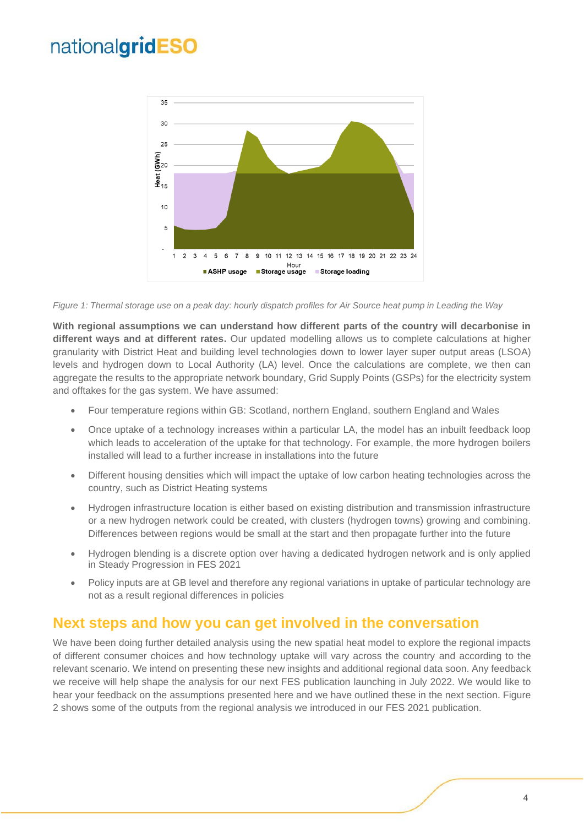

*Figure 1: Thermal storage use on a peak day: hourly dispatch profiles for Air Source heat pump in Leading the Way*

**With regional assumptions we can understand how different parts of the country will decarbonise in different ways and at different rates.** Our updated modelling allows us to complete calculations at higher granularity with District Heat and building level technologies down to lower layer super output areas (LSOA) levels and hydrogen down to Local Authority (LA) level. Once the calculations are complete, we then can aggregate the results to the appropriate network boundary, Grid Supply Points (GSPs) for the electricity system and offtakes for the gas system. We have assumed:

- Four temperature regions within GB: Scotland, northern England, southern England and Wales
- Once uptake of a technology increases within a particular LA, the model has an inbuilt feedback loop which leads to acceleration of the uptake for that technology. For example, the more hydrogen boilers installed will lead to a further increase in installations into the future
- Different housing densities which will impact the uptake of low carbon heating technologies across the country, such as District Heating systems
- Hydrogen infrastructure location is either based on existing distribution and transmission infrastructure or a new hydrogen network could be created, with clusters (hydrogen towns) growing and combining. Differences between regions would be small at the start and then propagate further into the future
- Hydrogen blending is a discrete option over having a dedicated hydrogen network and is only applied in Steady Progression in FES 2021
- Policy inputs are at GB level and therefore any regional variations in uptake of particular technology are not as a result regional differences in policies

### **Next steps and how you can get involved in the conversation**

We have been doing further detailed analysis using the new spatial heat model to explore the regional impacts of different consumer choices and how technology uptake will vary across the country and according to the relevant scenario. We intend on presenting these new insights and additional regional data soon. Any feedback we receive will help shape the analysis for our next FES publication launching in July 2022. We would like to hear your feedback on the assumptions presented here and we have outlined these in the next section. Figure 2 shows some of the outputs from the regional analysis we introduced in our FES 2021 publication.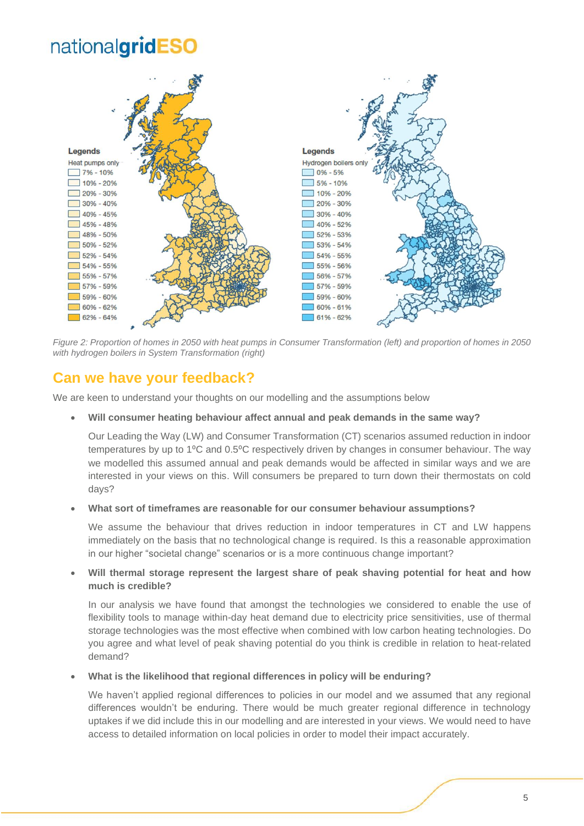

*Figure 2: Proportion of homes in 2050 with heat pumps in Consumer Transformation (left) and proportion of homes in 2050 with hydrogen boilers in System Transformation (right)*

## **Can we have your feedback?**

We are keen to understand your thoughts on our modelling and the assumptions below

• **Will consumer heating behaviour affect annual and peak demands in the same way?**

Our Leading the Way (LW) and Consumer Transformation (CT) scenarios assumed reduction in indoor temperatures by up to 1°C and 0.5°C respectively driven by changes in consumer behaviour. The way we modelled this assumed annual and peak demands would be affected in similar ways and we are interested in your views on this. Will consumers be prepared to turn down their thermostats on cold days?

#### • **What sort of timeframes are reasonable for our consumer behaviour assumptions?**

We assume the behaviour that drives reduction in indoor temperatures in CT and LW happens immediately on the basis that no technological change is required. Is this a reasonable approximation in our higher "societal change" scenarios or is a more continuous change important?

#### • **Will thermal storage represent the largest share of peak shaving potential for heat and how much is credible?**

In our analysis we have found that amongst the technologies we considered to enable the use of flexibility tools to manage within-day heat demand due to electricity price sensitivities, use of thermal storage technologies was the most effective when combined with low carbon heating technologies. Do you agree and what level of peak shaving potential do you think is credible in relation to heat-related demand?

#### • **What is the likelihood that regional differences in policy will be enduring?**

We haven't applied regional differences to policies in our model and we assumed that any regional differences wouldn't be enduring. There would be much greater regional difference in technology uptakes if we did include this in our modelling and are interested in your views. We would need to have access to detailed information on local policies in order to model their impact accurately.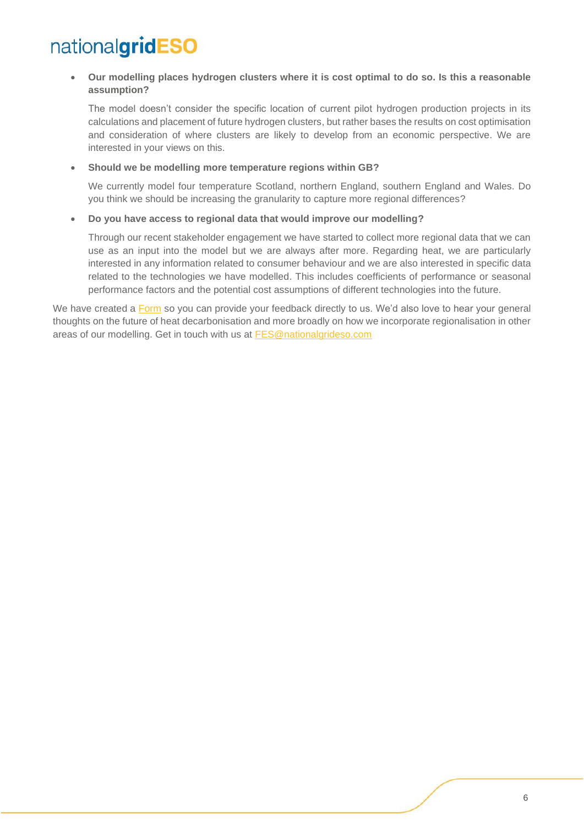• **Our modelling places hydrogen clusters where it is cost optimal to do so. Is this a reasonable assumption?**

The model doesn't consider the specific location of current pilot hydrogen production projects in its calculations and placement of future hydrogen clusters, but rather bases the results on cost optimisation and consideration of where clusters are likely to develop from an economic perspective. We are interested in your views on this.

#### • **Should we be modelling more temperature regions within GB?**

We currently model four temperature Scotland, northern England, southern England and Wales. Do you think we should be increasing the granularity to capture more regional differences?

#### • **Do you have access to regional data that would improve our modelling?**

Through our recent stakeholder engagement we have started to collect more regional data that we can use as an input into the model but we are always after more. Regarding heat, we are particularly interested in any information related to consumer behaviour and we are also interested in specific data related to the technologies we have modelled. This includes coefficients of performance or seasonal performance factors and the potential cost assumptions of different technologies into the future.

We have created a [Form](https://forms.office.com/r/FKJxQi7v8U) so you can provide your feedback directly to us. We'd also love to hear your general thoughts on the future of heat decarbonisation and more broadly on how we incorporate regionalisation in other areas of our modelling. Get in touch with us at **FES@nationalgrideso.com**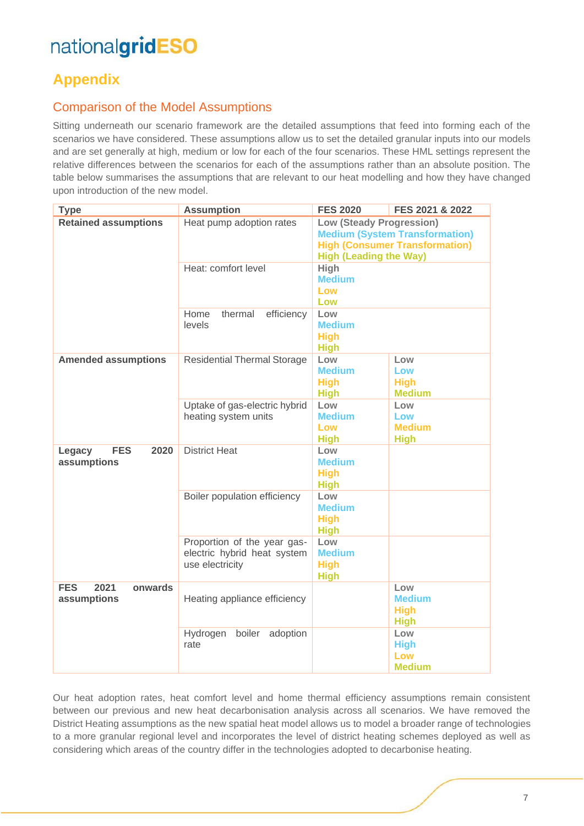## **Appendix**

### Comparison of the Model Assumptions

Sitting underneath our scenario framework are the detailed assumptions that feed into forming each of the scenarios we have considered. These assumptions allow us to set the detailed granular inputs into our models and are set generally at high, medium or low for each of the four scenarios. These HML settings represent the relative differences between the scenarios for each of the assumptions rather than an absolute position. The table below summarises the assumptions that are relevant to our heat modelling and how they have changed upon introduction of the new model.

| <b>Type</b>                                  | <b>Assumption</b>                                                             | <b>FES 2020</b>                                                                                                                                    | FES 2021 & 2022                                    |
|----------------------------------------------|-------------------------------------------------------------------------------|----------------------------------------------------------------------------------------------------------------------------------------------------|----------------------------------------------------|
| <b>Retained assumptions</b>                  | Heat pump adoption rates                                                      | <b>Low (Steady Progression)</b><br><b>Medium (System Transformation)</b><br><b>High (Consumer Transformation)</b><br><b>High (Leading the Way)</b> |                                                    |
|                                              | Heat: comfort level                                                           | High<br><b>Medium</b><br>Low<br>Low                                                                                                                |                                                    |
|                                              | Home<br>thermal<br>efficiency<br>levels                                       | Low<br><b>Medium</b><br><b>High</b><br><b>High</b>                                                                                                 |                                                    |
| <b>Amended assumptions</b>                   | <b>Residential Thermal Storage</b>                                            | Low<br><b>Medium</b><br><b>High</b><br><b>High</b>                                                                                                 | Low<br>Low<br><b>High</b><br><b>Medium</b>         |
|                                              | Uptake of gas-electric hybrid<br>heating system units                         | Low<br><b>Medium</b><br>Low<br><b>High</b>                                                                                                         | Low<br>Low<br><b>Medium</b><br><b>High</b>         |
| <b>FES</b><br>2020<br>Legacy<br>assumptions  | <b>District Heat</b>                                                          | Low<br><b>Medium</b><br><b>High</b><br><b>High</b>                                                                                                 |                                                    |
|                                              | Boiler population efficiency                                                  | Low<br><b>Medium</b><br><b>High</b><br><b>High</b>                                                                                                 |                                                    |
|                                              | Proportion of the year gas-<br>electric hybrid heat system<br>use electricity | Low<br><b>Medium</b><br><b>High</b><br><b>High</b>                                                                                                 |                                                    |
| <b>FES</b><br>2021<br>onwards<br>assumptions | Heating appliance efficiency                                                  |                                                                                                                                                    | Low<br><b>Medium</b><br><b>High</b><br><b>High</b> |
|                                              | boiler<br>Hydrogen<br>adoption<br>rate                                        |                                                                                                                                                    | Low<br><b>High</b><br>Low<br><b>Medium</b>         |

Our heat adoption rates, heat comfort level and home thermal efficiency assumptions remain consistent between our previous and new heat decarbonisation analysis across all scenarios. We have removed the District Heating assumptions as the new spatial heat model allows us to model a broader range of technologies to a more granular regional level and incorporates the level of district heating schemes deployed as well as considering which areas of the country differ in the technologies adopted to decarbonise heating.